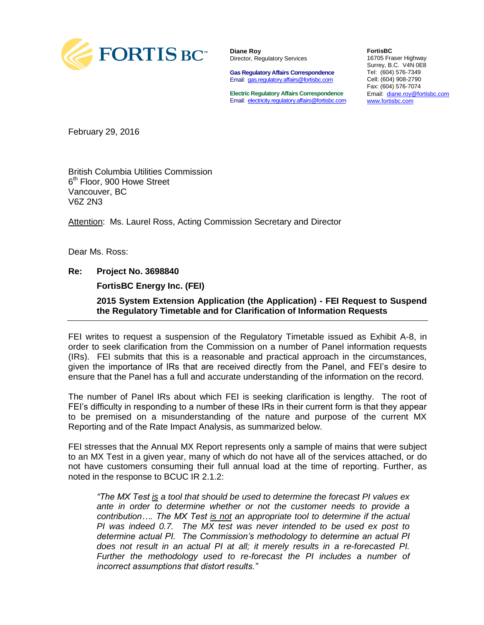

**Diane Roy** Director, Regulatory Services

**Gas Regulatory Affairs Correspondence** Email: [gas.regulatory.affairs@fortisbc.com](mailto:gas.regulatory.affairs@fortisbc.com)

**Electric Regulatory Affairs Correspondence** Email: [electricity.regulatory.affairs@fortisbc.com](mailto:electricity.regulatory.affairs@fortisbc.com)

**FortisBC**  16705 Fraser Highway Surrey, B.C. V4N 0E8 Tel: (604) 576-7349 Cell: (604) 908-2790 Fax: (604) 576-7074 Email: [diane.roy@fortisbc.com](mailto:diane.roy@fortisbc.com)  [www.fortisbc.com](http://www.fortisbc.com/)

February 29, 2016

British Columbia Utilities Commission 6<sup>th</sup> Floor, 900 Howe Street Vancouver, BC V6Z 2N3

Attention: Ms. Laurel Ross, Acting Commission Secretary and Director

Dear Ms. Ross:

#### **Re: Project No. 3698840**

**FortisBC Energy Inc. (FEI)** 

 **2015 System Extension Application (the Application) - FEI Request to Suspend the Regulatory Timetable and for Clarification of Information Requests** 

FEI writes to request a suspension of the Regulatory Timetable issued as Exhibit A-8, in order to seek clarification from the Commission on a number of Panel information requests (IRs). FEI submits that this is a reasonable and practical approach in the circumstances, given the importance of IRs that are received directly from the Panel, and FEI's desire to ensure that the Panel has a full and accurate understanding of the information on the record.

The number of Panel IRs about which FEI is seeking clarification is lengthy. The root of FEI's difficulty in responding to a number of these IRs in their current form is that they appear to be premised on a misunderstanding of the nature and purpose of the current MX Reporting and of the Rate Impact Analysis, as summarized below.

FEI stresses that the Annual MX Report represents only a sample of mains that were subject to an MX Test in a given year, many of which do not have all of the services attached, or do not have customers consuming their full annual load at the time of reporting. Further, as noted in the response to BCUC IR 2.1.2:

*"The MX Test is a tool that should be used to determine the forecast PI values ex ante in order to determine whether or not the customer needs to provide a contribution…. The MX Test is not an appropriate tool to determine if the actual PI was indeed 0.7. The MX test was never intended to be used ex post to determine actual PI. The Commission's methodology to determine an actual PI does not result in an actual PI at all; it merely results in a re-forecasted PI. Further the methodology used to re-forecast the PI includes a number of incorrect assumptions that distort results."*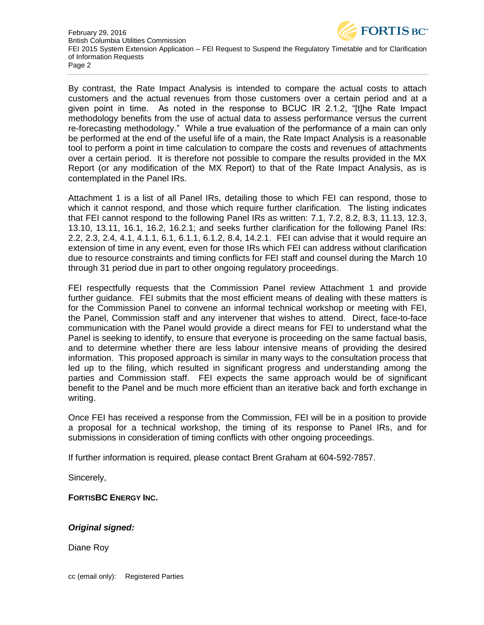

February 29, 2016 British Columbia Utilities Commission FEI 2015 System Extension Application – FEI Request to Suspend the Regulatory Timetable and for Clarification of Information Requests Page 2

By contrast, the Rate Impact Analysis is intended to compare the actual costs to attach customers and the actual revenues from those customers over a certain period and at a given point in time. As noted in the response to BCUC IR 2.1.2, "[t]he Rate Impact methodology benefits from the use of actual data to assess performance versus the current re-forecasting methodology." While a true evaluation of the performance of a main can only be performed at the end of the useful life of a main, the Rate Impact Analysis is a reasonable tool to perform a point in time calculation to compare the costs and revenues of attachments over a certain period. It is therefore not possible to compare the results provided in the MX Report (or any modification of the MX Report) to that of the Rate Impact Analysis, as is contemplated in the Panel IRs.

Attachment 1 is a list of all Panel IRs, detailing those to which FEI can respond, those to which it cannot respond, and those which require further clarification. The listing indicates that FEI cannot respond to the following Panel IRs as written: 7.1, 7.2, 8.2, 8.3, 11.13, 12.3, 13.10, 13.11, 16.1, 16.2, 16.2.1; and seeks further clarification for the following Panel IRs: 2.2, 2.3, 2.4, 4.1, 4.1.1, 6.1, 6.1.1, 6.1.2, 8.4, 14.2.1. FEI can advise that it would require an extension of time in any event, even for those IRs which FEI can address without clarification due to resource constraints and timing conflicts for FEI staff and counsel during the March 10 through 31 period due in part to other ongoing regulatory proceedings.

FEI respectfully requests that the Commission Panel review Attachment 1 and provide further guidance. FEI submits that the most efficient means of dealing with these matters is for the Commission Panel to convene an informal technical workshop or meeting with FEI, the Panel, Commission staff and any intervener that wishes to attend. Direct, face-to-face communication with the Panel would provide a direct means for FEI to understand what the Panel is seeking to identify, to ensure that everyone is proceeding on the same factual basis, and to determine whether there are less labour intensive means of providing the desired information. This proposed approach is similar in many ways to the consultation process that led up to the filing, which resulted in significant progress and understanding among the parties and Commission staff. FEI expects the same approach would be of significant benefit to the Panel and be much more efficient than an iterative back and forth exchange in writing.

Once FEI has received a response from the Commission, FEI will be in a position to provide a proposal for a technical workshop, the timing of its response to Panel IRs, and for submissions in consideration of timing conflicts with other ongoing proceedings.

If further information is required, please contact Brent Graham at 604-592-7857.

Sincerely,

**FORTISBC ENERGY INC.** 

#### *Original signed:*

Diane Roy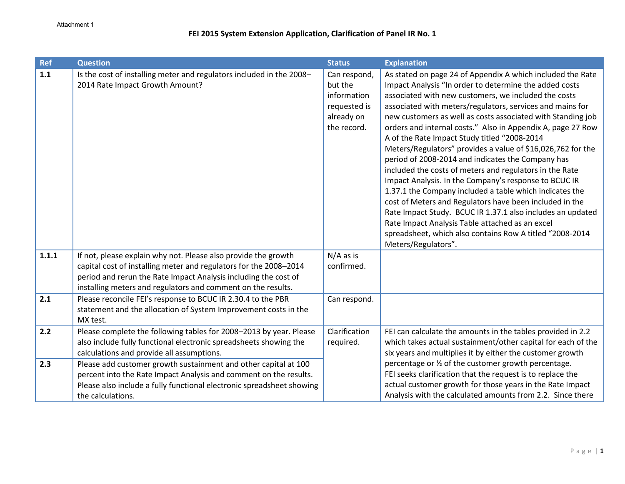| <b>Ref</b> | <b>Question</b>                                                                                                                                                                                                                                                        | <b>Status</b>                                                                       | <b>Explanation</b>                                                                                                                                                                                                                                                                                                                                                                                                                                                                                                                                                                                                                                                                                                                                                                                                                                                                                                                                                                        |
|------------|------------------------------------------------------------------------------------------------------------------------------------------------------------------------------------------------------------------------------------------------------------------------|-------------------------------------------------------------------------------------|-------------------------------------------------------------------------------------------------------------------------------------------------------------------------------------------------------------------------------------------------------------------------------------------------------------------------------------------------------------------------------------------------------------------------------------------------------------------------------------------------------------------------------------------------------------------------------------------------------------------------------------------------------------------------------------------------------------------------------------------------------------------------------------------------------------------------------------------------------------------------------------------------------------------------------------------------------------------------------------------|
| 1.1        | Is the cost of installing meter and regulators included in the 2008-<br>2014 Rate Impact Growth Amount?                                                                                                                                                                | Can respond,<br>but the<br>information<br>requested is<br>already on<br>the record. | As stated on page 24 of Appendix A which included the Rate<br>Impact Analysis "In order to determine the added costs<br>associated with new customers, we included the costs<br>associated with meters/regulators, services and mains for<br>new customers as well as costs associated with Standing job<br>orders and internal costs." Also in Appendix A, page 27 Row<br>A of the Rate Impact Study titled "2008-2014<br>Meters/Regulators" provides a value of \$16,026,762 for the<br>period of 2008-2014 and indicates the Company has<br>included the costs of meters and regulators in the Rate<br>Impact Analysis. In the Company's response to BCUC IR<br>1.37.1 the Company included a table which indicates the<br>cost of Meters and Regulators have been included in the<br>Rate Impact Study. BCUC IR 1.37.1 also includes an updated<br>Rate Impact Analysis Table attached as an excel<br>spreadsheet, which also contains Row A titled "2008-2014<br>Meters/Regulators". |
| 1.1.1      | If not, please explain why not. Please also provide the growth<br>capital cost of installing meter and regulators for the 2008-2014<br>period and rerun the Rate Impact Analysis including the cost of<br>installing meters and regulators and comment on the results. | $N/A$ as is<br>confirmed.                                                           |                                                                                                                                                                                                                                                                                                                                                                                                                                                                                                                                                                                                                                                                                                                                                                                                                                                                                                                                                                                           |
| 2.1        | Please reconcile FEI's response to BCUC IR 2.30.4 to the PBR<br>statement and the allocation of System Improvement costs in the<br>MX test.                                                                                                                            | Can respond.                                                                        |                                                                                                                                                                                                                                                                                                                                                                                                                                                                                                                                                                                                                                                                                                                                                                                                                                                                                                                                                                                           |
| 2.2        | Please complete the following tables for 2008-2013 by year. Please<br>also include fully functional electronic spreadsheets showing the<br>calculations and provide all assumptions.                                                                                   | Clarification<br>required.                                                          | FEI can calculate the amounts in the tables provided in 2.2<br>which takes actual sustainment/other capital for each of the<br>six years and multiplies it by either the customer growth                                                                                                                                                                                                                                                                                                                                                                                                                                                                                                                                                                                                                                                                                                                                                                                                  |
| 2.3        | Please add customer growth sustainment and other capital at 100<br>percent into the Rate Impact Analysis and comment on the results.<br>Please also include a fully functional electronic spreadsheet showing<br>the calculations.                                     |                                                                                     | percentage or 1/2 of the customer growth percentage.<br>FEI seeks clarification that the request is to replace the<br>actual customer growth for those years in the Rate Impact<br>Analysis with the calculated amounts from 2.2. Since there                                                                                                                                                                                                                                                                                                                                                                                                                                                                                                                                                                                                                                                                                                                                             |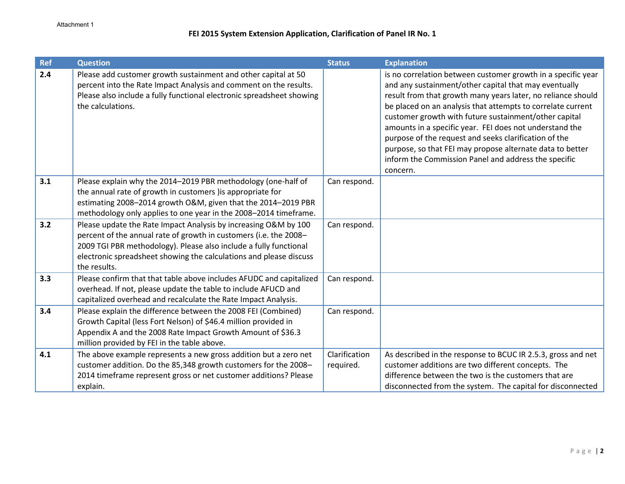| <b>Ref</b> | <b>Question</b>                                                                                                                                                                                                                   | <b>Status</b> | <b>Explanation</b>                                                                                                                                                                                                                                                                                                                                                                                                                                                                                                                                                 |
|------------|-----------------------------------------------------------------------------------------------------------------------------------------------------------------------------------------------------------------------------------|---------------|--------------------------------------------------------------------------------------------------------------------------------------------------------------------------------------------------------------------------------------------------------------------------------------------------------------------------------------------------------------------------------------------------------------------------------------------------------------------------------------------------------------------------------------------------------------------|
| 2.4        | Please add customer growth sustainment and other capital at 50<br>percent into the Rate Impact Analysis and comment on the results.<br>Please also include a fully functional electronic spreadsheet showing<br>the calculations. |               | is no correlation between customer growth in a specific year<br>and any sustainment/other capital that may eventually<br>result from that growth many years later, no reliance should<br>be placed on an analysis that attempts to correlate current<br>customer growth with future sustainment/other capital<br>amounts in a specific year. FEI does not understand the<br>purpose of the request and seeks clarification of the<br>purpose, so that FEI may propose alternate data to better<br>inform the Commission Panel and address the specific<br>concern. |
| 3.1        | Please explain why the 2014-2019 PBR methodology (one-half of                                                                                                                                                                     | Can respond.  |                                                                                                                                                                                                                                                                                                                                                                                                                                                                                                                                                                    |
|            | the annual rate of growth in customers ) is appropriate for                                                                                                                                                                       |               |                                                                                                                                                                                                                                                                                                                                                                                                                                                                                                                                                                    |
|            | estimating 2008-2014 growth O&M, given that the 2014-2019 PBR                                                                                                                                                                     |               |                                                                                                                                                                                                                                                                                                                                                                                                                                                                                                                                                                    |
| 3.2        | methodology only applies to one year in the 2008-2014 timeframe.                                                                                                                                                                  |               |                                                                                                                                                                                                                                                                                                                                                                                                                                                                                                                                                                    |
|            | Please update the Rate Impact Analysis by increasing O&M by 100<br>percent of the annual rate of growth in customers (i.e. the 2008-                                                                                              | Can respond.  |                                                                                                                                                                                                                                                                                                                                                                                                                                                                                                                                                                    |
|            | 2009 TGI PBR methodology). Please also include a fully functional                                                                                                                                                                 |               |                                                                                                                                                                                                                                                                                                                                                                                                                                                                                                                                                                    |
|            | electronic spreadsheet showing the calculations and please discuss                                                                                                                                                                |               |                                                                                                                                                                                                                                                                                                                                                                                                                                                                                                                                                                    |
|            | the results.                                                                                                                                                                                                                      |               |                                                                                                                                                                                                                                                                                                                                                                                                                                                                                                                                                                    |
| 3.3        | Please confirm that that table above includes AFUDC and capitalized                                                                                                                                                               | Can respond.  |                                                                                                                                                                                                                                                                                                                                                                                                                                                                                                                                                                    |
|            | overhead. If not, please update the table to include AFUCD and                                                                                                                                                                    |               |                                                                                                                                                                                                                                                                                                                                                                                                                                                                                                                                                                    |
|            | capitalized overhead and recalculate the Rate Impact Analysis.                                                                                                                                                                    |               |                                                                                                                                                                                                                                                                                                                                                                                                                                                                                                                                                                    |
| 3.4        | Please explain the difference between the 2008 FEI (Combined)                                                                                                                                                                     | Can respond.  |                                                                                                                                                                                                                                                                                                                                                                                                                                                                                                                                                                    |
|            | Growth Capital (less Fort Nelson) of \$46.4 million provided in                                                                                                                                                                   |               |                                                                                                                                                                                                                                                                                                                                                                                                                                                                                                                                                                    |
|            | Appendix A and the 2008 Rate Impact Growth Amount of \$36.3                                                                                                                                                                       |               |                                                                                                                                                                                                                                                                                                                                                                                                                                                                                                                                                                    |
|            | million provided by FEI in the table above.                                                                                                                                                                                       |               |                                                                                                                                                                                                                                                                                                                                                                                                                                                                                                                                                                    |
| 4.1        | The above example represents a new gross addition but a zero net                                                                                                                                                                  | Clarification | As described in the response to BCUC IR 2.5.3, gross and net                                                                                                                                                                                                                                                                                                                                                                                                                                                                                                       |
|            | customer addition. Do the 85,348 growth customers for the 2008-                                                                                                                                                                   | required.     | customer additions are two different concepts. The<br>difference between the two is the customers that are                                                                                                                                                                                                                                                                                                                                                                                                                                                         |
|            | 2014 timeframe represent gross or net customer additions? Please                                                                                                                                                                  |               |                                                                                                                                                                                                                                                                                                                                                                                                                                                                                                                                                                    |
|            | explain.                                                                                                                                                                                                                          |               | disconnected from the system. The capital for disconnected                                                                                                                                                                                                                                                                                                                                                                                                                                                                                                         |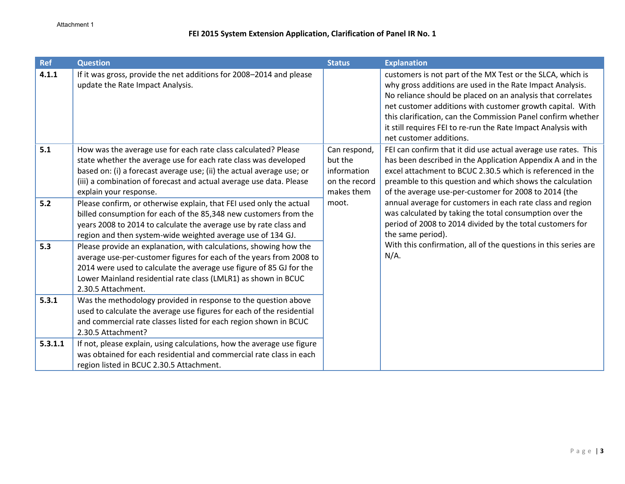| <b>Ref</b> | <b>Question</b>                                                                                                                                                                                                                                                                                             | <b>Status</b>                                                         | <b>Explanation</b>                                                                                                                                                                                                                                                                                                                                                                                              |
|------------|-------------------------------------------------------------------------------------------------------------------------------------------------------------------------------------------------------------------------------------------------------------------------------------------------------------|-----------------------------------------------------------------------|-----------------------------------------------------------------------------------------------------------------------------------------------------------------------------------------------------------------------------------------------------------------------------------------------------------------------------------------------------------------------------------------------------------------|
| 4.1.1      | If it was gross, provide the net additions for 2008-2014 and please<br>update the Rate Impact Analysis.                                                                                                                                                                                                     |                                                                       | customers is not part of the MX Test or the SLCA, which is<br>why gross additions are used in the Rate Impact Analysis.<br>No reliance should be placed on an analysis that correlates<br>net customer additions with customer growth capital. With<br>this clarification, can the Commission Panel confirm whether<br>it still requires FEI to re-run the Rate Impact Analysis with<br>net customer additions. |
| 5.1        | How was the average use for each rate class calculated? Please<br>state whether the average use for each rate class was developed<br>based on: (i) a forecast average use; (ii) the actual average use; or<br>(iii) a combination of forecast and actual average use data. Please<br>explain your response. | Can respond,<br>but the<br>information<br>on the record<br>makes them | FEI can confirm that it did use actual average use rates. This<br>has been described in the Application Appendix A and in the<br>excel attachment to BCUC 2.30.5 which is referenced in the<br>preamble to this question and which shows the calculation<br>of the average use-per-customer for 2008 to 2014 (the                                                                                               |
| 5.2        | Please confirm, or otherwise explain, that FEI used only the actual<br>billed consumption for each of the 85,348 new customers from the<br>years 2008 to 2014 to calculate the average use by rate class and<br>region and then system-wide weighted average use of 134 GJ.                                 | moot.                                                                 | annual average for customers in each rate class and region<br>was calculated by taking the total consumption over the<br>period of 2008 to 2014 divided by the total customers for<br>the same period).                                                                                                                                                                                                         |
| 5.3        | Please provide an explanation, with calculations, showing how the<br>average use-per-customer figures for each of the years from 2008 to<br>2014 were used to calculate the average use figure of 85 GJ for the<br>Lower Mainland residential rate class (LMLR1) as shown in BCUC<br>2.30.5 Attachment.     |                                                                       | With this confirmation, all of the questions in this series are<br>$N/A$ .                                                                                                                                                                                                                                                                                                                                      |
| 5.3.1      | Was the methodology provided in response to the question above<br>used to calculate the average use figures for each of the residential<br>and commercial rate classes listed for each region shown in BCUC<br>2.30.5 Attachment?                                                                           |                                                                       |                                                                                                                                                                                                                                                                                                                                                                                                                 |
| 5.3.1.1    | If not, please explain, using calculations, how the average use figure<br>was obtained for each residential and commercial rate class in each<br>region listed in BCUC 2.30.5 Attachment.                                                                                                                   |                                                                       |                                                                                                                                                                                                                                                                                                                                                                                                                 |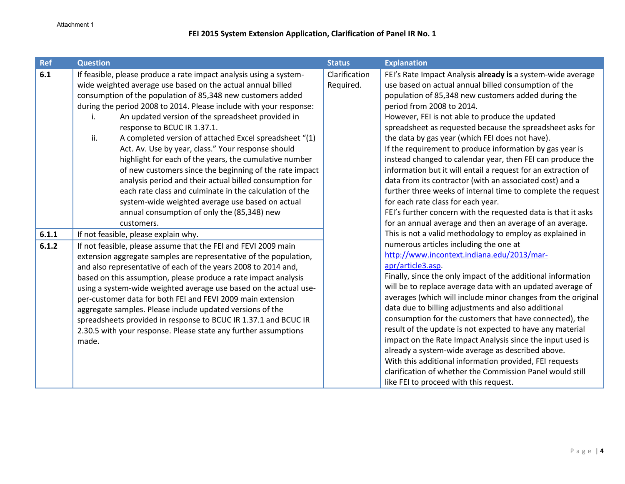| <b>Ref</b> | <b>Question</b>                                                                                                                     | <b>Status</b> | <b>Explanation</b>                                                                                  |
|------------|-------------------------------------------------------------------------------------------------------------------------------------|---------------|-----------------------------------------------------------------------------------------------------|
| 6.1        | If feasible, please produce a rate impact analysis using a system-                                                                  | Clarification | FEI's Rate Impact Analysis already is a system-wide average                                         |
|            | wide weighted average use based on the actual annual billed                                                                         | Required.     | use based on actual annual billed consumption of the                                                |
|            | consumption of the population of 85,348 new customers added                                                                         |               | population of 85,348 new customers added during the                                                 |
|            | during the period 2008 to 2014. Please include with your response:                                                                  |               | period from 2008 to 2014.                                                                           |
|            | An updated version of the spreadsheet provided in<br>i.                                                                             |               | However, FEI is not able to produce the updated                                                     |
|            | response to BCUC IR 1.37.1.                                                                                                         |               | spreadsheet as requested because the spreadsheet asks for                                           |
|            | ii.<br>A completed version of attached Excel spreadsheet "(1)                                                                       |               | the data by gas year (which FEI does not have).                                                     |
|            | Act. Av. Use by year, class." Your response should                                                                                  |               | If the requirement to produce information by gas year is                                            |
|            | highlight for each of the years, the cumulative number                                                                              |               | instead changed to calendar year, then FEI can produce the                                          |
|            | of new customers since the beginning of the rate impact                                                                             |               | information but it will entail a request for an extraction of                                       |
|            | analysis period and their actual billed consumption for                                                                             |               | data from its contractor (with an associated cost) and a                                            |
|            | each rate class and culminate in the calculation of the                                                                             |               | further three weeks of internal time to complete the request                                        |
|            | system-wide weighted average use based on actual                                                                                    |               | for each rate class for each year.<br>FEI's further concern with the requested data is that it asks |
|            | annual consumption of only the (85,348) new<br>customers.                                                                           |               | for an annual average and then an average of an average.                                            |
| 6.1.1      | If not feasible, please explain why.                                                                                                |               | This is not a valid methodology to employ as explained in                                           |
| 6.1.2      |                                                                                                                                     |               | numerous articles including the one at                                                              |
|            | If not feasible, please assume that the FEI and FEVI 2009 main<br>extension aggregate samples are representative of the population, |               | http://www.incontext.indiana.edu/2013/mar-                                                          |
|            | and also representative of each of the years 2008 to 2014 and,                                                                      |               | apr/article3.asp.                                                                                   |
|            | based on this assumption, please produce a rate impact analysis                                                                     |               | Finally, since the only impact of the additional information                                        |
|            | using a system-wide weighted average use based on the actual use-                                                                   |               | will be to replace average data with an updated average of                                          |
|            | per-customer data for both FEI and FEVI 2009 main extension                                                                         |               | averages (which will include minor changes from the original                                        |
|            | aggregate samples. Please include updated versions of the                                                                           |               | data due to billing adjustments and also additional                                                 |
|            | spreadsheets provided in response to BCUC IR 1.37.1 and BCUC IR                                                                     |               | consumption for the customers that have connected), the                                             |
|            | 2.30.5 with your response. Please state any further assumptions                                                                     |               | result of the update is not expected to have any material                                           |
|            | made.                                                                                                                               |               | impact on the Rate Impact Analysis since the input used is                                          |
|            |                                                                                                                                     |               | already a system-wide average as described above.                                                   |
|            |                                                                                                                                     |               | With this additional information provided, FEI requests                                             |
|            |                                                                                                                                     |               | clarification of whether the Commission Panel would still                                           |
|            |                                                                                                                                     |               | like FEI to proceed with this request.                                                              |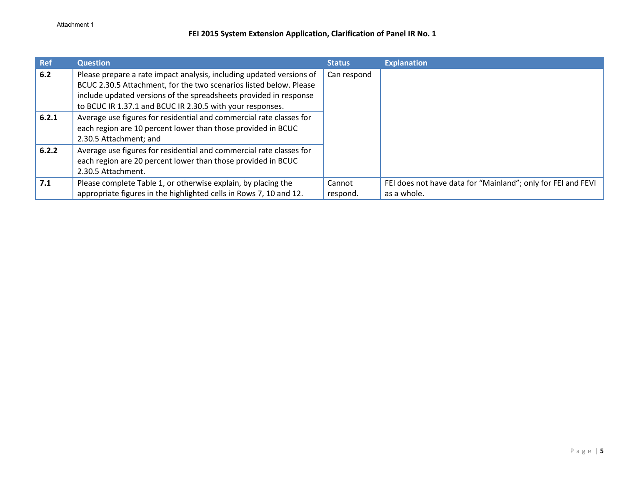| <b>Ref</b> | <b>Question</b>                                                                                                                                                                                                                                                              | <b>Status</b>      | <b>Explanation</b>                                                          |
|------------|------------------------------------------------------------------------------------------------------------------------------------------------------------------------------------------------------------------------------------------------------------------------------|--------------------|-----------------------------------------------------------------------------|
| 6.2        | Please prepare a rate impact analysis, including updated versions of<br>BCUC 2.30.5 Attachment, for the two scenarios listed below. Please<br>include updated versions of the spreadsheets provided in response<br>to BCUC IR 1.37.1 and BCUC IR 2.30.5 with your responses. | Can respond        |                                                                             |
| 6.2.1      | Average use figures for residential and commercial rate classes for<br>each region are 10 percent lower than those provided in BCUC<br>2.30.5 Attachment; and                                                                                                                |                    |                                                                             |
| 6.2.2      | Average use figures for residential and commercial rate classes for<br>each region are 20 percent lower than those provided in BCUC<br>2.30.5 Attachment.                                                                                                                    |                    |                                                                             |
| 7.1        | Please complete Table 1, or otherwise explain, by placing the<br>appropriate figures in the highlighted cells in Rows 7, 10 and 12.                                                                                                                                          | Cannot<br>respond. | FEI does not have data for "Mainland"; only for FEI and FEVI<br>as a whole. |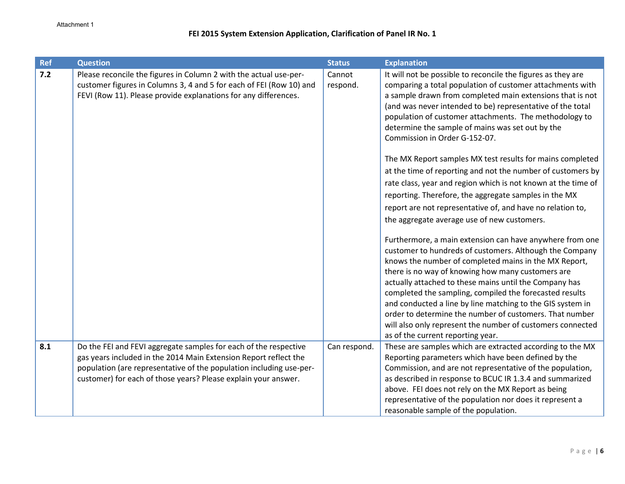| <b>Ref</b> | <b>Question</b>                                                                                                                                                                                                                                                               | <b>Status</b>      | <b>Explanation</b>                                                                                                                                                                                                                                                                                                                                                                                                                                                                                                                                                                                                                                                                                                                                                                                                                                                                                                                                                                                                                                                                                                                                                                                                                                        |
|------------|-------------------------------------------------------------------------------------------------------------------------------------------------------------------------------------------------------------------------------------------------------------------------------|--------------------|-----------------------------------------------------------------------------------------------------------------------------------------------------------------------------------------------------------------------------------------------------------------------------------------------------------------------------------------------------------------------------------------------------------------------------------------------------------------------------------------------------------------------------------------------------------------------------------------------------------------------------------------------------------------------------------------------------------------------------------------------------------------------------------------------------------------------------------------------------------------------------------------------------------------------------------------------------------------------------------------------------------------------------------------------------------------------------------------------------------------------------------------------------------------------------------------------------------------------------------------------------------|
| $7.2$      | Please reconcile the figures in Column 2 with the actual use-per-<br>customer figures in Columns 3, 4 and 5 for each of FEI (Row 10) and<br>FEVI (Row 11). Please provide explanations for any differences.                                                                   | Cannot<br>respond. | It will not be possible to reconcile the figures as they are<br>comparing a total population of customer attachments with<br>a sample drawn from completed main extensions that is not<br>(and was never intended to be) representative of the total<br>population of customer attachments. The methodology to<br>determine the sample of mains was set out by the<br>Commission in Order G-152-07.<br>The MX Report samples MX test results for mains completed<br>at the time of reporting and not the number of customers by<br>rate class, year and region which is not known at the time of<br>reporting. Therefore, the aggregate samples in the MX<br>report are not representative of, and have no relation to,<br>the aggregate average use of new customers.<br>Furthermore, a main extension can have anywhere from one<br>customer to hundreds of customers. Although the Company<br>knows the number of completed mains in the MX Report,<br>there is no way of knowing how many customers are<br>actually attached to these mains until the Company has<br>completed the sampling, compiled the forecasted results<br>and conducted a line by line matching to the GIS system in<br>order to determine the number of customers. That number |
|            |                                                                                                                                                                                                                                                                               |                    | will also only represent the number of customers connected<br>as of the current reporting year.                                                                                                                                                                                                                                                                                                                                                                                                                                                                                                                                                                                                                                                                                                                                                                                                                                                                                                                                                                                                                                                                                                                                                           |
| 8.1        | Do the FEI and FEVI aggregate samples for each of the respective<br>gas years included in the 2014 Main Extension Report reflect the<br>population (are representative of the population including use-per-<br>customer) for each of those years? Please explain your answer. | Can respond.       | These are samples which are extracted according to the MX<br>Reporting parameters which have been defined by the<br>Commission, and are not representative of the population,<br>as described in response to BCUC IR 1.3.4 and summarized<br>above. FEI does not rely on the MX Report as being<br>representative of the population nor does it represent a<br>reasonable sample of the population.                                                                                                                                                                                                                                                                                                                                                                                                                                                                                                                                                                                                                                                                                                                                                                                                                                                       |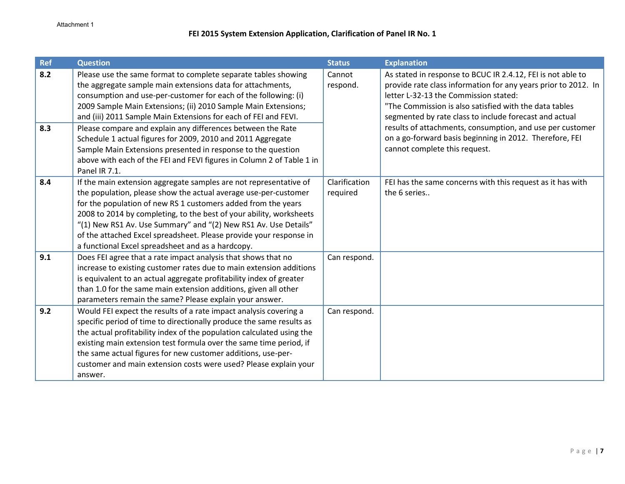| <b>Ref</b> | <b>Question</b>                                                       | <b>Status</b> | <b>Explanation</b>                                             |
|------------|-----------------------------------------------------------------------|---------------|----------------------------------------------------------------|
| 8.2        | Please use the same format to complete separate tables showing        | Cannot        | As stated in response to BCUC IR 2.4.12, FEI is not able to    |
|            | the aggregate sample main extensions data for attachments,            | respond.      | provide rate class information for any years prior to 2012. In |
|            | consumption and use-per-customer for each of the following: (i)       |               | letter L-32-13 the Commission stated:                          |
|            | 2009 Sample Main Extensions; (ii) 2010 Sample Main Extensions;        |               | "The Commission is also satisfied with the data tables         |
|            | and (iii) 2011 Sample Main Extensions for each of FEI and FEVI.       |               | segmented by rate class to include forecast and actual         |
| 8.3        | Please compare and explain any differences between the Rate           |               | results of attachments, consumption, and use per customer      |
|            | Schedule 1 actual figures for 2009, 2010 and 2011 Aggregate           |               | on a go-forward basis beginning in 2012. Therefore, FEI        |
|            | Sample Main Extensions presented in response to the question          |               | cannot complete this request.                                  |
|            | above with each of the FEI and FEVI figures in Column 2 of Table 1 in |               |                                                                |
|            | Panel IR 7.1.                                                         |               |                                                                |
| 8.4        | If the main extension aggregate samples are not representative of     | Clarification | FEI has the same concerns with this request as it has with     |
|            | the population, please show the actual average use-per-customer       | required      | the 6 series                                                   |
|            | for the population of new RS 1 customers added from the years         |               |                                                                |
|            | 2008 to 2014 by completing, to the best of your ability, worksheets   |               |                                                                |
|            | "(1) New RS1 Av. Use Summary" and "(2) New RS1 Av. Use Details"       |               |                                                                |
|            | of the attached Excel spreadsheet. Please provide your response in    |               |                                                                |
|            | a functional Excel spreadsheet and as a hardcopy.                     |               |                                                                |
| 9.1        | Does FEI agree that a rate impact analysis that shows that no         | Can respond.  |                                                                |
|            | increase to existing customer rates due to main extension additions   |               |                                                                |
|            | is equivalent to an actual aggregate profitability index of greater   |               |                                                                |
|            | than 1.0 for the same main extension additions, given all other       |               |                                                                |
|            | parameters remain the same? Please explain your answer.               |               |                                                                |
| 9.2        | Would FEI expect the results of a rate impact analysis covering a     | Can respond.  |                                                                |
|            | specific period of time to directionally produce the same results as  |               |                                                                |
|            | the actual profitability index of the population calculated using the |               |                                                                |
|            | existing main extension test formula over the same time period, if    |               |                                                                |
|            | the same actual figures for new customer additions, use-per-          |               |                                                                |
|            | customer and main extension costs were used? Please explain your      |               |                                                                |
|            | answer.                                                               |               |                                                                |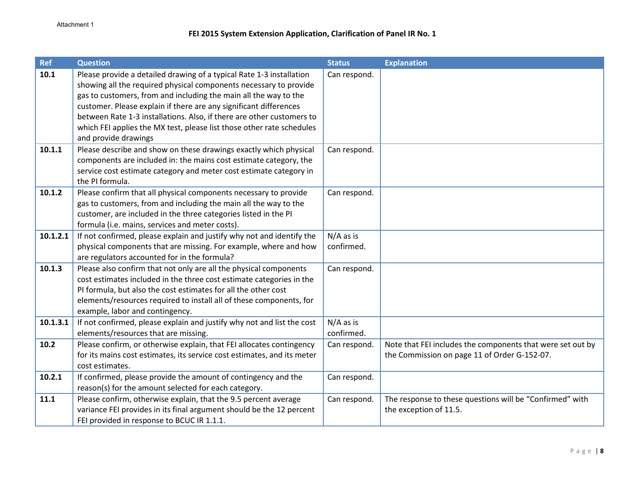| <b>Ref</b> | <b>Question</b>                                                                                                                                                                                                                                                                                                                                                                                                                                              | <b>Status</b>             | <b>Explanation</b>                                                                                         |
|------------|--------------------------------------------------------------------------------------------------------------------------------------------------------------------------------------------------------------------------------------------------------------------------------------------------------------------------------------------------------------------------------------------------------------------------------------------------------------|---------------------------|------------------------------------------------------------------------------------------------------------|
| 10.1       | Please provide a detailed drawing of a typical Rate 1-3 installation<br>showing all the required physical components necessary to provide<br>gas to customers, from and including the main all the way to the<br>customer. Please explain if there are any significant differences<br>between Rate 1-3 installations. Also, if there are other customers to<br>which FEI applies the MX test, please list those other rate schedules<br>and provide drawings | Can respond.              |                                                                                                            |
| 10.1.1     | Please describe and show on these drawings exactly which physical<br>components are included in: the mains cost estimate category, the<br>service cost estimate category and meter cost estimate category in<br>the PI formula.                                                                                                                                                                                                                              | Can respond.              |                                                                                                            |
| 10.1.2     | Please confirm that all physical components necessary to provide<br>gas to customers, from and including the main all the way to the<br>customer, are included in the three categories listed in the PI<br>formula (i.e. mains, services and meter costs).                                                                                                                                                                                                   | Can respond.              |                                                                                                            |
| 10.1.2.1   | If not confirmed, please explain and justify why not and identify the<br>physical components that are missing. For example, where and how<br>are regulators accounted for in the formula?                                                                                                                                                                                                                                                                    | N/A as is<br>confirmed.   |                                                                                                            |
| 10.1.3     | Please also confirm that not only are all the physical components<br>cost estimates included in the three cost estimate categories in the<br>PI formula, but also the cost estimates for all the other cost<br>elements/resources required to install all of these components, for<br>example, labor and contingency.                                                                                                                                        | Can respond.              |                                                                                                            |
| 10.1.3.1   | If not confirmed, please explain and justify why not and list the cost<br>elements/resources that are missing.                                                                                                                                                                                                                                                                                                                                               | $N/A$ as is<br>confirmed. |                                                                                                            |
| 10.2       | Please confirm, or otherwise explain, that FEI allocates contingency<br>for its mains cost estimates, its service cost estimates, and its meter<br>cost estimates.                                                                                                                                                                                                                                                                                           | Can respond.              | Note that FEI includes the components that were set out by<br>the Commission on page 11 of Order G-152-07. |
| 10.2.1     | If confirmed, please provide the amount of contingency and the<br>reason(s) for the amount selected for each category.                                                                                                                                                                                                                                                                                                                                       | Can respond.              |                                                                                                            |
| $11.1$     | Please confirm, otherwise explain, that the 9.5 percent average<br>variance FEI provides in its final argument should be the 12 percent<br>FEI provided in response to BCUC IR 1.1.1.                                                                                                                                                                                                                                                                        | Can respond.              | The response to these questions will be "Confirmed" with<br>the exception of 11.5.                         |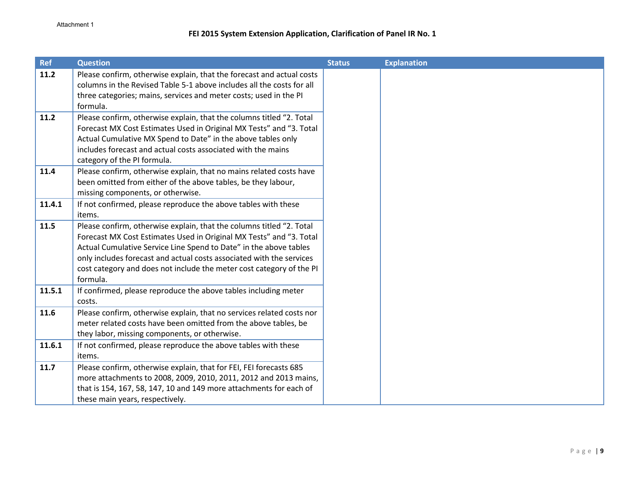| <b>Ref</b> | <b>Question</b>                                                                                                                                                                                                                                                                                                                                                              | <b>Status</b> | <b>Explanation</b> |
|------------|------------------------------------------------------------------------------------------------------------------------------------------------------------------------------------------------------------------------------------------------------------------------------------------------------------------------------------------------------------------------------|---------------|--------------------|
| 11.2       | Please confirm, otherwise explain, that the forecast and actual costs<br>columns in the Revised Table 5-1 above includes all the costs for all<br>three categories; mains, services and meter costs; used in the PI<br>formula.                                                                                                                                              |               |                    |
| 11.2       | Please confirm, otherwise explain, that the columns titled "2. Total<br>Forecast MX Cost Estimates Used in Original MX Tests" and "3. Total<br>Actual Cumulative MX Spend to Date" in the above tables only<br>includes forecast and actual costs associated with the mains<br>category of the PI formula.                                                                   |               |                    |
| 11.4       | Please confirm, otherwise explain, that no mains related costs have<br>been omitted from either of the above tables, be they labour,<br>missing components, or otherwise.                                                                                                                                                                                                    |               |                    |
| 11.4.1     | If not confirmed, please reproduce the above tables with these<br>items.                                                                                                                                                                                                                                                                                                     |               |                    |
| 11.5       | Please confirm, otherwise explain, that the columns titled "2. Total<br>Forecast MX Cost Estimates Used in Original MX Tests" and "3. Total<br>Actual Cumulative Service Line Spend to Date" in the above tables<br>only includes forecast and actual costs associated with the services<br>cost category and does not include the meter cost category of the PI<br>formula. |               |                    |
| 11.5.1     | If confirmed, please reproduce the above tables including meter<br>costs.                                                                                                                                                                                                                                                                                                    |               |                    |
| 11.6       | Please confirm, otherwise explain, that no services related costs nor<br>meter related costs have been omitted from the above tables, be<br>they labor, missing components, or otherwise.                                                                                                                                                                                    |               |                    |
| 11.6.1     | If not confirmed, please reproduce the above tables with these<br>items.                                                                                                                                                                                                                                                                                                     |               |                    |
| 11.7       | Please confirm, otherwise explain, that for FEI, FEI forecasts 685<br>more attachments to 2008, 2009, 2010, 2011, 2012 and 2013 mains,<br>that is 154, 167, 58, 147, 10 and 149 more attachments for each of<br>these main years, respectively.                                                                                                                              |               |                    |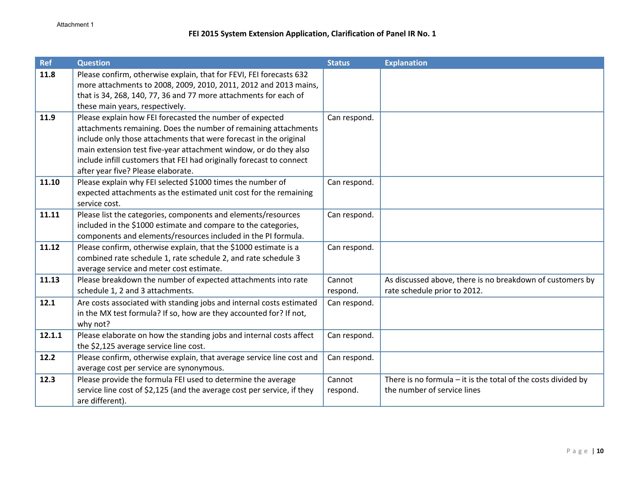| <b>Ref</b> | <b>Question</b>                                                                                                                                                                                                                                                                                                                                                                    | <b>Status</b>      | <b>Explanation</b>                                                                             |
|------------|------------------------------------------------------------------------------------------------------------------------------------------------------------------------------------------------------------------------------------------------------------------------------------------------------------------------------------------------------------------------------------|--------------------|------------------------------------------------------------------------------------------------|
| 11.8       | Please confirm, otherwise explain, that for FEVI, FEI forecasts 632<br>more attachments to 2008, 2009, 2010, 2011, 2012 and 2013 mains,<br>that is 34, 268, 140, 77, 36 and 77 more attachments for each of<br>these main years, respectively.                                                                                                                                     |                    |                                                                                                |
| 11.9       | Please explain how FEI forecasted the number of expected<br>attachments remaining. Does the number of remaining attachments<br>include only those attachments that were forecast in the original<br>main extension test five-year attachment window, or do they also<br>include infill customers that FEI had originally forecast to connect<br>after year five? Please elaborate. | Can respond.       |                                                                                                |
| 11.10      | Please explain why FEI selected \$1000 times the number of<br>expected attachments as the estimated unit cost for the remaining<br>service cost.                                                                                                                                                                                                                                   | Can respond.       |                                                                                                |
| 11.11      | Please list the categories, components and elements/resources<br>included in the \$1000 estimate and compare to the categories,<br>components and elements/resources included in the PI formula.                                                                                                                                                                                   | Can respond.       |                                                                                                |
| 11.12      | Please confirm, otherwise explain, that the \$1000 estimate is a<br>combined rate schedule 1, rate schedule 2, and rate schedule 3<br>average service and meter cost estimate.                                                                                                                                                                                                     | Can respond.       |                                                                                                |
| 11.13      | Please breakdown the number of expected attachments into rate<br>schedule 1, 2 and 3 attachments.                                                                                                                                                                                                                                                                                  | Cannot<br>respond. | As discussed above, there is no breakdown of customers by<br>rate schedule prior to 2012.      |
| 12.1       | Are costs associated with standing jobs and internal costs estimated<br>in the MX test formula? If so, how are they accounted for? If not,<br>why not?                                                                                                                                                                                                                             | Can respond.       |                                                                                                |
| 12.1.1     | Please elaborate on how the standing jobs and internal costs affect<br>the \$2,125 average service line cost.                                                                                                                                                                                                                                                                      | Can respond.       |                                                                                                |
| 12.2       | Please confirm, otherwise explain, that average service line cost and<br>average cost per service are synonymous.                                                                                                                                                                                                                                                                  | Can respond.       |                                                                                                |
| 12.3       | Please provide the formula FEI used to determine the average<br>service line cost of \$2,125 (and the average cost per service, if they<br>are different).                                                                                                                                                                                                                         | Cannot<br>respond. | There is no formula $-$ it is the total of the costs divided by<br>the number of service lines |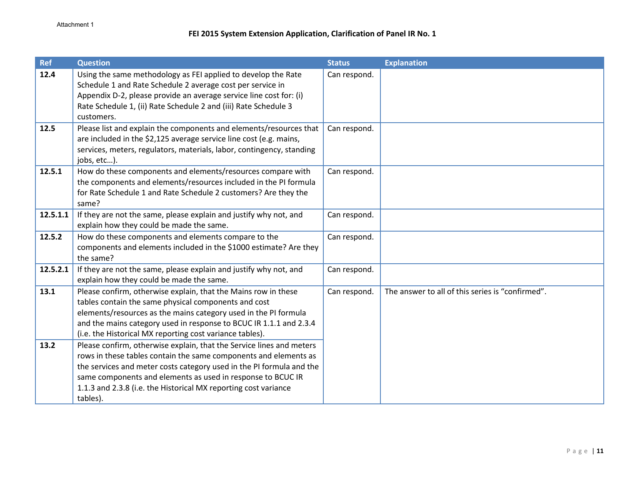| <b>Ref</b>   | <b>Question</b>                                                                                                                                                                                                                                                                                                                                                                                     | <b>Status</b> | <b>Explanation</b>                               |
|--------------|-----------------------------------------------------------------------------------------------------------------------------------------------------------------------------------------------------------------------------------------------------------------------------------------------------------------------------------------------------------------------------------------------------|---------------|--------------------------------------------------|
| 12.4         | Using the same methodology as FEI applied to develop the Rate<br>Schedule 1 and Rate Schedule 2 average cost per service in<br>Appendix D-2, please provide an average service line cost for: (i)<br>Rate Schedule 1, (ii) Rate Schedule 2 and (iii) Rate Schedule 3<br>customers.                                                                                                                  | Can respond.  |                                                  |
| 12.5         | Please list and explain the components and elements/resources that<br>are included in the \$2,125 average service line cost (e.g. mains,<br>services, meters, regulators, materials, labor, contingency, standing<br>jobs, etc).                                                                                                                                                                    | Can respond.  |                                                  |
| 12.5.1       | How do these components and elements/resources compare with<br>the components and elements/resources included in the PI formula<br>for Rate Schedule 1 and Rate Schedule 2 customers? Are they the<br>same?                                                                                                                                                                                         | Can respond.  |                                                  |
| 12.5.1.1     | If they are not the same, please explain and justify why not, and<br>explain how they could be made the same.                                                                                                                                                                                                                                                                                       | Can respond.  |                                                  |
| 12.5.2       | How do these components and elements compare to the<br>components and elements included in the \$1000 estimate? Are they<br>the same?                                                                                                                                                                                                                                                               | Can respond.  |                                                  |
| 12.5.2.1     | If they are not the same, please explain and justify why not, and<br>explain how they could be made the same.                                                                                                                                                                                                                                                                                       | Can respond.  |                                                  |
| 13.1<br>13.2 | Please confirm, otherwise explain, that the Mains row in these<br>tables contain the same physical components and cost<br>elements/resources as the mains category used in the PI formula<br>and the mains category used in response to BCUC IR 1.1.1 and 2.3.4<br>(i.e. the Historical MX reporting cost variance tables).<br>Please confirm, otherwise explain, that the Service lines and meters | Can respond.  | The answer to all of this series is "confirmed". |
|              | rows in these tables contain the same components and elements as<br>the services and meter costs category used in the PI formula and the<br>same components and elements as used in response to BCUC IR<br>1.1.3 and 2.3.8 (i.e. the Historical MX reporting cost variance<br>tables).                                                                                                              |               |                                                  |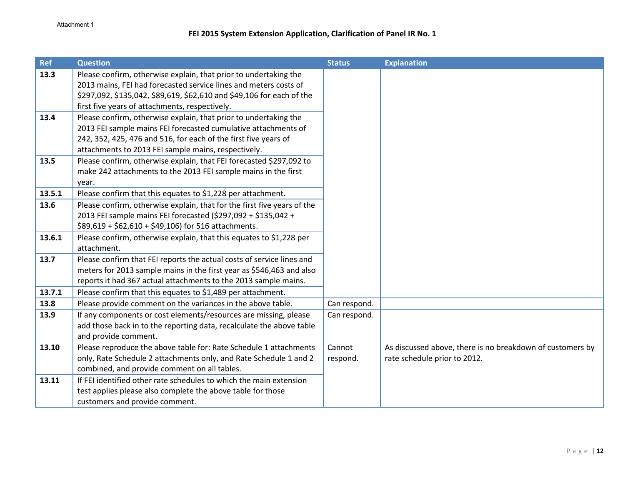| <b>Ref</b> | <b>Question</b>                                                                                                                      | <b>Status</b> | <b>Explanation</b>                                        |
|------------|--------------------------------------------------------------------------------------------------------------------------------------|---------------|-----------------------------------------------------------|
| 13.3       | Please confirm, otherwise explain, that prior to undertaking the<br>2013 mains, FEI had forecasted service lines and meters costs of |               |                                                           |
|            | \$297,092, \$135,042, \$89,619, \$62,610 and \$49,106 for each of the                                                                |               |                                                           |
|            | first five years of attachments, respectively.                                                                                       |               |                                                           |
| 13.4       | Please confirm, otherwise explain, that prior to undertaking the                                                                     |               |                                                           |
|            | 2013 FEI sample mains FEI forecasted cumulative attachments of                                                                       |               |                                                           |
|            | 242, 352, 425, 476 and 516, for each of the first five years of                                                                      |               |                                                           |
|            | attachments to 2013 FEI sample mains, respectively.                                                                                  |               |                                                           |
| 13.5       | Please confirm, otherwise explain, that FEI forecasted \$297,092 to                                                                  |               |                                                           |
|            | make 242 attachments to the 2013 FEI sample mains in the first                                                                       |               |                                                           |
|            | year.                                                                                                                                |               |                                                           |
| 13.5.1     | Please confirm that this equates to \$1,228 per attachment.                                                                          |               |                                                           |
| 13.6       | Please confirm, otherwise explain, that for the first five years of the                                                              |               |                                                           |
|            | 2013 FEI sample mains FEI forecasted (\$297,092 + \$135,042 +                                                                        |               |                                                           |
|            | \$89,619 + \$62,610 + \$49,106) for 516 attachments.                                                                                 |               |                                                           |
| 13.6.1     | Please confirm, otherwise explain, that this equates to \$1,228 per                                                                  |               |                                                           |
|            | attachment.                                                                                                                          |               |                                                           |
| 13.7       | Please confirm that FEI reports the actual costs of service lines and                                                                |               |                                                           |
|            | meters for 2013 sample mains in the first year as \$546,463 and also                                                                 |               |                                                           |
|            | reports it had 367 actual attachments to the 2013 sample mains.                                                                      |               |                                                           |
| 13.7.1     | Please confirm that this equates to \$1,489 per attachment.                                                                          |               |                                                           |
| 13.8       | Please provide comment on the variances in the above table.                                                                          | Can respond.  |                                                           |
| 13.9       | If any components or cost elements/resources are missing, please                                                                     | Can respond.  |                                                           |
|            | add those back in to the reporting data, recalculate the above table                                                                 |               |                                                           |
|            | and provide comment.                                                                                                                 |               |                                                           |
| 13.10      | Please reproduce the above table for: Rate Schedule 1 attachments                                                                    | Cannot        | As discussed above, there is no breakdown of customers by |
|            | only, Rate Schedule 2 attachments only, and Rate Schedule 1 and 2                                                                    | respond.      | rate schedule prior to 2012.                              |
|            | combined, and provide comment on all tables.                                                                                         |               |                                                           |
| 13.11      | If FEI identified other rate schedules to which the main extension                                                                   |               |                                                           |
|            | test applies please also complete the above table for those                                                                          |               |                                                           |
|            | customers and provide comment.                                                                                                       |               |                                                           |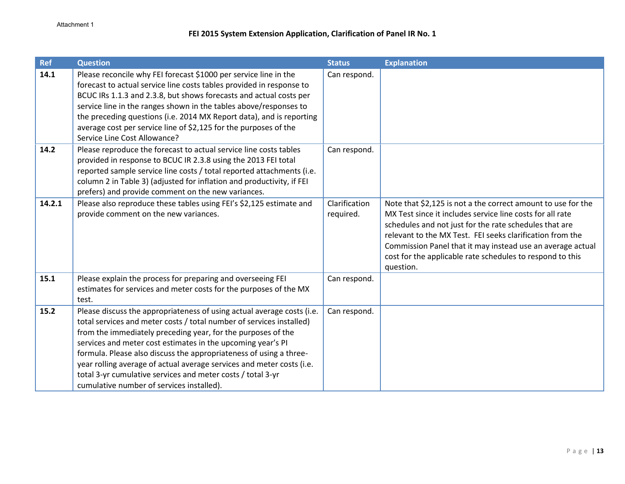| <b>Ref</b> | <b>Question</b>                                                                                                                                                                                                                                                                                                                                                                                                                                                                                                                          | <b>Status</b>              | <b>Explanation</b>                                                                                                                                                                                                                                                                                                                                                                       |
|------------|------------------------------------------------------------------------------------------------------------------------------------------------------------------------------------------------------------------------------------------------------------------------------------------------------------------------------------------------------------------------------------------------------------------------------------------------------------------------------------------------------------------------------------------|----------------------------|------------------------------------------------------------------------------------------------------------------------------------------------------------------------------------------------------------------------------------------------------------------------------------------------------------------------------------------------------------------------------------------|
| 14.1       | Please reconcile why FEI forecast \$1000 per service line in the<br>forecast to actual service line costs tables provided in response to<br>BCUC IRs 1.1.3 and 2.3.8, but shows forecasts and actual costs per<br>service line in the ranges shown in the tables above/responses to<br>the preceding questions (i.e. 2014 MX Report data), and is reporting<br>average cost per service line of \$2,125 for the purposes of the<br>Service Line Cost Allowance?                                                                          | Can respond.               |                                                                                                                                                                                                                                                                                                                                                                                          |
| 14.2       | Please reproduce the forecast to actual service line costs tables<br>provided in response to BCUC IR 2.3.8 using the 2013 FEI total<br>reported sample service line costs / total reported attachments (i.e.<br>column 2 in Table 3) (adjusted for inflation and productivity, if FEI<br>prefers) and provide comment on the new variances.                                                                                                                                                                                              | Can respond.               |                                                                                                                                                                                                                                                                                                                                                                                          |
| 14.2.1     | Please also reproduce these tables using FEI's \$2,125 estimate and<br>provide comment on the new variances.                                                                                                                                                                                                                                                                                                                                                                                                                             | Clarification<br>required. | Note that \$2,125 is not a the correct amount to use for the<br>MX Test since it includes service line costs for all rate<br>schedules and not just for the rate schedules that are<br>relevant to the MX Test. FEI seeks clarification from the<br>Commission Panel that it may instead use an average actual<br>cost for the applicable rate schedules to respond to this<br>question. |
| 15.1       | Please explain the process for preparing and overseeing FEI<br>estimates for services and meter costs for the purposes of the MX<br>test.                                                                                                                                                                                                                                                                                                                                                                                                | Can respond.               |                                                                                                                                                                                                                                                                                                                                                                                          |
| 15.2       | Please discuss the appropriateness of using actual average costs (i.e.<br>total services and meter costs / total number of services installed)<br>from the immediately preceding year, for the purposes of the<br>services and meter cost estimates in the upcoming year's PI<br>formula. Please also discuss the appropriateness of using a three-<br>year rolling average of actual average services and meter costs (i.e.<br>total 3-yr cumulative services and meter costs / total 3-yr<br>cumulative number of services installed). | Can respond.               |                                                                                                                                                                                                                                                                                                                                                                                          |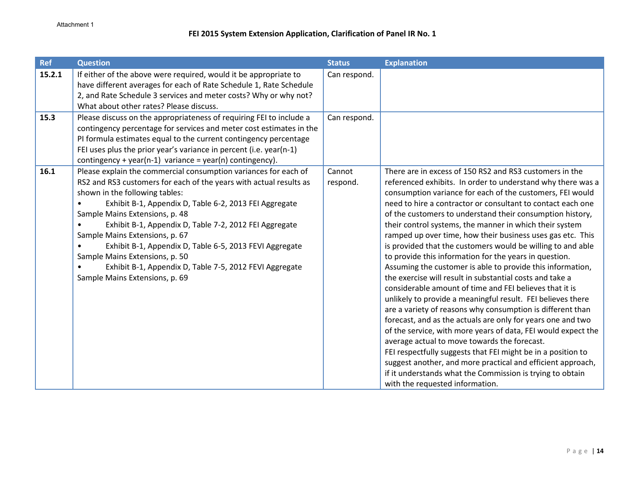| <b>Ref</b> | <b>Question</b>                                                                                                                                                                                                                                                                                                                                                                                                                                                                                                                                                                                                       | <b>Status</b>      | <b>Explanation</b>                                                                                                                                                                                                                                                                                                                                                                                                                                                                                                                                                                                                                                                                                                                                                                                                                                                                                                                                                                                                                                                                                                                                                                                                                                                                                 |
|------------|-----------------------------------------------------------------------------------------------------------------------------------------------------------------------------------------------------------------------------------------------------------------------------------------------------------------------------------------------------------------------------------------------------------------------------------------------------------------------------------------------------------------------------------------------------------------------------------------------------------------------|--------------------|----------------------------------------------------------------------------------------------------------------------------------------------------------------------------------------------------------------------------------------------------------------------------------------------------------------------------------------------------------------------------------------------------------------------------------------------------------------------------------------------------------------------------------------------------------------------------------------------------------------------------------------------------------------------------------------------------------------------------------------------------------------------------------------------------------------------------------------------------------------------------------------------------------------------------------------------------------------------------------------------------------------------------------------------------------------------------------------------------------------------------------------------------------------------------------------------------------------------------------------------------------------------------------------------------|
| 15.2.1     | If either of the above were required, would it be appropriate to<br>have different averages for each of Rate Schedule 1, Rate Schedule                                                                                                                                                                                                                                                                                                                                                                                                                                                                                | Can respond.       |                                                                                                                                                                                                                                                                                                                                                                                                                                                                                                                                                                                                                                                                                                                                                                                                                                                                                                                                                                                                                                                                                                                                                                                                                                                                                                    |
|            | 2, and Rate Schedule 3 services and meter costs? Why or why not?<br>What about other rates? Please discuss.                                                                                                                                                                                                                                                                                                                                                                                                                                                                                                           |                    |                                                                                                                                                                                                                                                                                                                                                                                                                                                                                                                                                                                                                                                                                                                                                                                                                                                                                                                                                                                                                                                                                                                                                                                                                                                                                                    |
| 15.3       | Please discuss on the appropriateness of requiring FEI to include a<br>contingency percentage for services and meter cost estimates in the<br>PI formula estimates equal to the current contingency percentage<br>FEI uses plus the prior year's variance in percent (i.e. year(n-1)                                                                                                                                                                                                                                                                                                                                  | Can respond.       |                                                                                                                                                                                                                                                                                                                                                                                                                                                                                                                                                                                                                                                                                                                                                                                                                                                                                                                                                                                                                                                                                                                                                                                                                                                                                                    |
| 16.1       | contingency + year(n-1) variance = year(n) contingency).<br>Please explain the commercial consumption variances for each of<br>RS2 and RS3 customers for each of the years with actual results as<br>shown in the following tables:<br>Exhibit B-1, Appendix D, Table 6-2, 2013 FEI Aggregate<br>Sample Mains Extensions, p. 48<br>Exhibit B-1, Appendix D, Table 7-2, 2012 FEI Aggregate<br>Sample Mains Extensions, p. 67<br>Exhibit B-1, Appendix D, Table 6-5, 2013 FEVI Aggregate<br>Sample Mains Extensions, p. 50<br>Exhibit B-1, Appendix D, Table 7-5, 2012 FEVI Aggregate<br>Sample Mains Extensions, p. 69 | Cannot<br>respond. | There are in excess of 150 RS2 and RS3 customers in the<br>referenced exhibits. In order to understand why there was a<br>consumption variance for each of the customers, FEI would<br>need to hire a contractor or consultant to contact each one<br>of the customers to understand their consumption history,<br>their control systems, the manner in which their system<br>ramped up over time, how their business uses gas etc. This<br>is provided that the customers would be willing to and able<br>to provide this information for the years in question.<br>Assuming the customer is able to provide this information,<br>the exercise will result in substantial costs and take a<br>considerable amount of time and FEI believes that it is<br>unlikely to provide a meaningful result. FEI believes there<br>are a variety of reasons why consumption is different than<br>forecast, and as the actuals are only for years one and two<br>of the service, with more years of data, FEI would expect the<br>average actual to move towards the forecast.<br>FEI respectfully suggests that FEI might be in a position to<br>suggest another, and more practical and efficient approach,<br>if it understands what the Commission is trying to obtain<br>with the requested information. |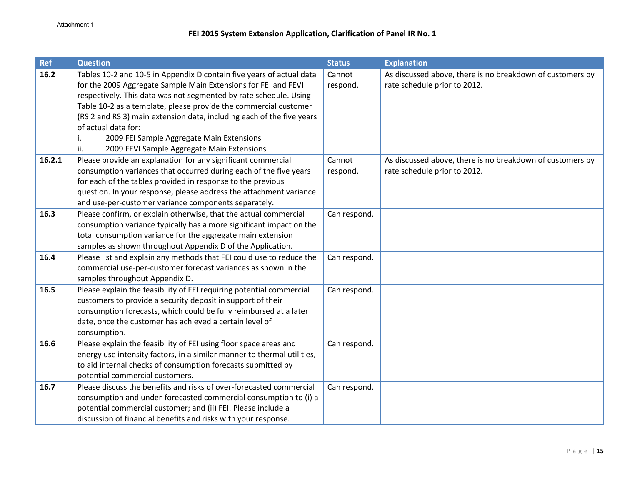| <b>Ref</b> | <b>Question</b>                                                                                                                                                                                                                                                                                                                                                                                                                                                                         | <b>Status</b>      | <b>Explanation</b>                                                                        |
|------------|-----------------------------------------------------------------------------------------------------------------------------------------------------------------------------------------------------------------------------------------------------------------------------------------------------------------------------------------------------------------------------------------------------------------------------------------------------------------------------------------|--------------------|-------------------------------------------------------------------------------------------|
| 16.2       | Tables 10-2 and 10-5 in Appendix D contain five years of actual data<br>for the 2009 Aggregate Sample Main Extensions for FEI and FEVI<br>respectively. This data was not segmented by rate schedule. Using<br>Table 10-2 as a template, please provide the commercial customer<br>(RS 2 and RS 3) main extension data, including each of the five years<br>of actual data for:<br>2009 FEI Sample Aggregate Main Extensions<br>i.<br>ii.<br>2009 FEVI Sample Aggregate Main Extensions | Cannot<br>respond. | As discussed above, there is no breakdown of customers by<br>rate schedule prior to 2012. |
| 16.2.1     | Please provide an explanation for any significant commercial<br>consumption variances that occurred during each of the five years<br>for each of the tables provided in response to the previous<br>question. In your response, please address the attachment variance<br>and use-per-customer variance components separately.                                                                                                                                                          | Cannot<br>respond. | As discussed above, there is no breakdown of customers by<br>rate schedule prior to 2012. |
| 16.3       | Please confirm, or explain otherwise, that the actual commercial<br>consumption variance typically has a more significant impact on the<br>total consumption variance for the aggregate main extension<br>samples as shown throughout Appendix D of the Application.                                                                                                                                                                                                                    | Can respond.       |                                                                                           |
| 16.4       | Please list and explain any methods that FEI could use to reduce the<br>commercial use-per-customer forecast variances as shown in the<br>samples throughout Appendix D.                                                                                                                                                                                                                                                                                                                | Can respond.       |                                                                                           |
| 16.5       | Please explain the feasibility of FEI requiring potential commercial<br>customers to provide a security deposit in support of their<br>consumption forecasts, which could be fully reimbursed at a later<br>date, once the customer has achieved a certain level of<br>consumption.                                                                                                                                                                                                     | Can respond.       |                                                                                           |
| 16.6       | Please explain the feasibility of FEI using floor space areas and<br>energy use intensity factors, in a similar manner to thermal utilities,<br>to aid internal checks of consumption forecasts submitted by<br>potential commercial customers.                                                                                                                                                                                                                                         | Can respond.       |                                                                                           |
| 16.7       | Please discuss the benefits and risks of over-forecasted commercial<br>consumption and under-forecasted commercial consumption to (i) a<br>potential commercial customer; and (ii) FEI. Please include a<br>discussion of financial benefits and risks with your response.                                                                                                                                                                                                              | Can respond.       |                                                                                           |